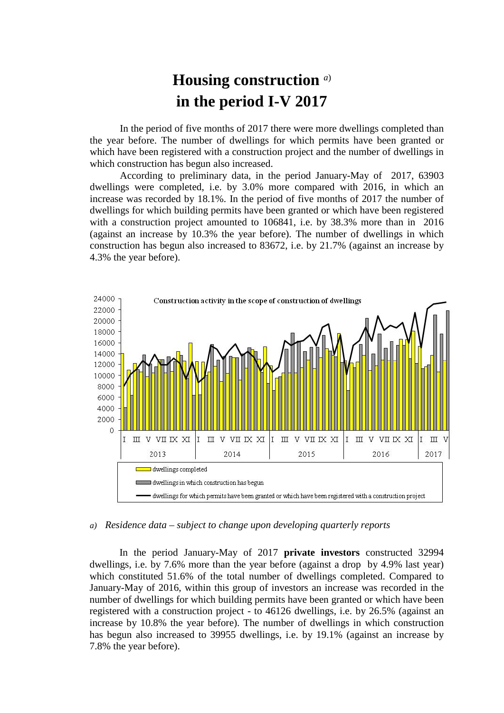## **Housing construction** *a*) **in the period I-V 2017**

In the period of five months of 2017 there were more dwellings completed than the year before. The number of dwellings for which permits have been granted or which have been registered with a construction project and the number of dwellings in which construction has begun also increased.

According to preliminary data, in the period January-May of 2017, 63903 dwellings were completed, i.e. by 3.0% more compared with 2016, in which an increase was recorded by 18.1%. In the period of five months of 2017 the number of dwellings for which building permits have been granted or which have been registered with a construction project amounted to 106841, i.e. by 38.3% more than in 2016 (against an increase by 10.3% the year before). The number of dwellings in which construction has begun also increased to 83672, i.e. by 21.7% (against an increase by 4.3% the year before).



## *a) Residence data – subject to change upon developing quarterly reports*

In the period January-May of 2017 **private investors** constructed 32994 dwellings, i.e. by 7.6% more than the year before (against a drop by 4.9% last year) which constituted 51.6% of the total number of dwellings completed. Compared to January-May of 2016, within this group of investors an increase was recorded in the number of dwellings for which building permits have been granted or which have been registered with a construction project - to 46126 dwellings, i.e. by 26.5% (against an increase by 10.8% the year before). The number of dwellings in which construction has begun also increased to 39955 dwellings, i.e. by 19.1% (against an increase by 7.8% the year before).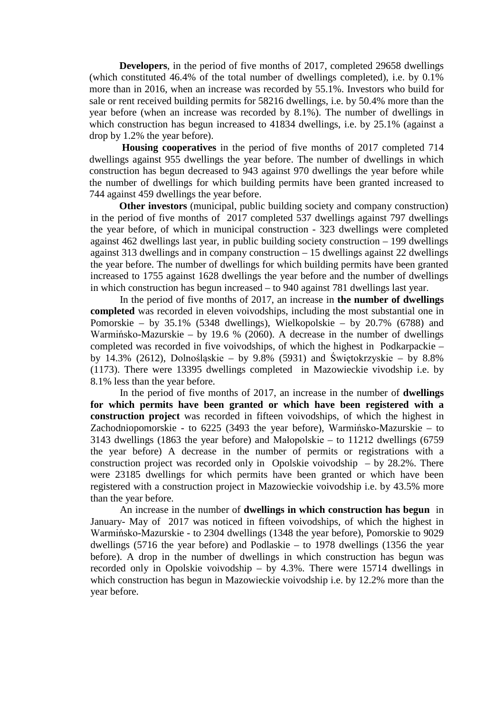**Developers**, in the period of five months of 2017, completed 29658 dwellings (which constituted 46.4% of the total number of dwellings completed), i.e. by 0.1% more than in 2016, when an increase was recorded by 55.1%. Investors who build for sale or rent received building permits for 58216 dwellings, i.e. by 50.4% more than the year before (when an increase was recorded by 8.1%). The number of dwellings in which construction has begun increased to 41834 dwellings, i.e. by 25.1% (against a drop by 1.2% the year before).

**Housing cooperatives** in the period of five months of 2017 completed 714 dwellings against 955 dwellings the year before. The number of dwellings in which construction has begun decreased to 943 against 970 dwellings the year before while the number of dwellings for which building permits have been granted increased to 744 against 459 dwellings the year before.

 **Other investors** (municipal, public building society and company construction) in the period of five months of 2017 completed 537 dwellings against 797 dwellings the year before, of which in municipal construction - 323 dwellings were completed against 462 dwellings last year, in public building society construction – 199 dwellings against 313 dwellings and in company construction – 15 dwellings against 22 dwellings the year before. The number of dwellings for which building permits have been granted increased to 1755 against 1628 dwellings the year before and the number of dwellings in which construction has begun increased – to 940 against 781 dwellings last year.

In the period of five months of 2017, an increase in **the number of dwellings completed** was recorded in eleven voivodships, including the most substantial one in Pomorskie – by 35.1% (5348 dwellings), Wielkopolskie – by 20.7% (6788) and Warmińsko-Mazurskie – by 19.6 % (2060). A decrease in the number of dwellings completed was recorded in five voivodships, of which the highest in Podkarpackie – by 14.3% (2612), Dolnośląskie – by 9.8% (5931) and Świętokrzyskie – by 8.8% (1173). There were 13395 dwellings completed in Mazowieckie vivodship i.e. by 8.1% less than the year before.

In the period of five months of 2017, an increase in the number of **dwellings for which permits have been granted or which have been registered with a construction project** was recorded in fifteen voivodships, of which the highest in Zachodniopomorskie - to 6225 (3493 the year before), Warmińsko-Mazurskie – to 3143 dwellings (1863 the year before) and Małopolskie – to 11212 dwellings (6759 the year before) A decrease in the number of permits or registrations with a construction project was recorded only in Opolskie voivodship – by 28.2%. There were 23185 dwellings for which permits have been granted or which have been registered with a construction project in Mazowieckie voivodship i.e. by 43.5% more than the year before.

An increase in the number of **dwellings in which construction has begun** in January- May of 2017 was noticed in fifteen voivodships, of which the highest in Warmińsko-Mazurskie - to 2304 dwellings (1348 the year before), Pomorskie to 9029 dwellings (5716 the year before) and Podlaskie – to 1978 dwellings (1356 the year before). A drop in the number of dwellings in which construction has begun was recorded only in Opolskie voivodship – by 4.3%. There were 15714 dwellings in which construction has begun in Mazowieckie voivodship i.e. by 12.2% more than the year before.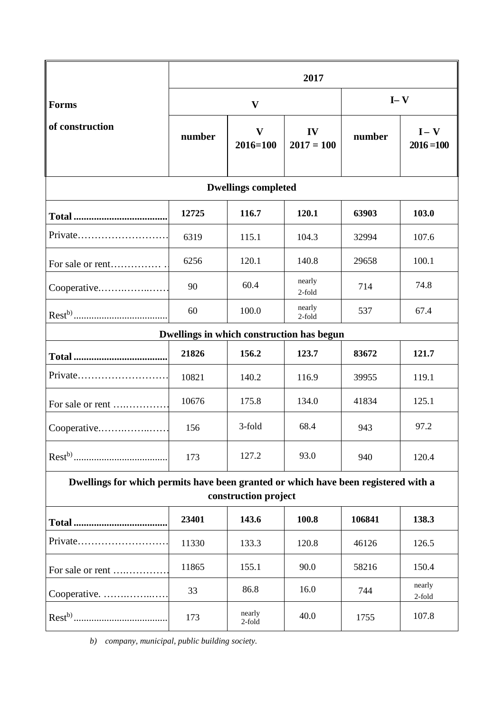|                                                                                                            | 2017   |                              |                    |         |                         |
|------------------------------------------------------------------------------------------------------------|--------|------------------------------|--------------------|---------|-------------------------|
| <b>Forms</b><br>of construction                                                                            | V      |                              |                    | $I - V$ |                         |
|                                                                                                            | number | $\mathbf{V}$<br>$2016 = 100$ | IV<br>$2017 = 100$ | number  | $I - V$<br>$2016 = 100$ |
| <b>Dwellings completed</b>                                                                                 |        |                              |                    |         |                         |
|                                                                                                            | 12725  | 116.7                        | 120.1              | 63903   | 103.0                   |
| Private                                                                                                    | 6319   | 115.1                        | 104.3              | 32994   | 107.6                   |
| For sale or rent                                                                                           | 6256   | 120.1                        | 140.8              | 29658   | 100.1                   |
| Cooperative                                                                                                | 90     | 60.4                         | nearly<br>2-fold   | 714     | 74.8                    |
|                                                                                                            | 60     | 100.0                        | nearly<br>2-fold   | 537     | 67.4                    |
| Dwellings in which construction has begun                                                                  |        |                              |                    |         |                         |
|                                                                                                            | 21826  | 156.2                        | 123.7              | 83672   | 121.7                   |
| Private                                                                                                    | 10821  | 140.2                        | 116.9              | 39955   | 119.1                   |
| For sale or rent                                                                                           | 10676  | 175.8                        | 134.0              | 41834   | 125.1                   |
| Cooperative                                                                                                | 156    | 3-fold                       | 68.4               | 943     | 97.2                    |
|                                                                                                            | 173    | 127.2                        | 93.0               | 940     | 120.4                   |
| Dwellings for which permits have been granted or which have been registered with a<br>construction project |        |                              |                    |         |                         |
| <b>Total </b>                                                                                              | 23401  | 143.6                        | 100.8              | 106841  | 138.3                   |
| Private                                                                                                    | 11330  | 133.3                        | 120.8              | 46126   | 126.5                   |
| For sale or rent                                                                                           | 11865  | 155.1                        | 90.0               | 58216   | 150.4                   |
| Cooperative.                                                                                               | 33     | 86.8                         | 16.0               | 744     | nearly<br>2-fold        |
|                                                                                                            | 173    | nearly<br>2-fold             | 40.0               | 1755    | 107.8                   |

*b) company, municipal, public building society.*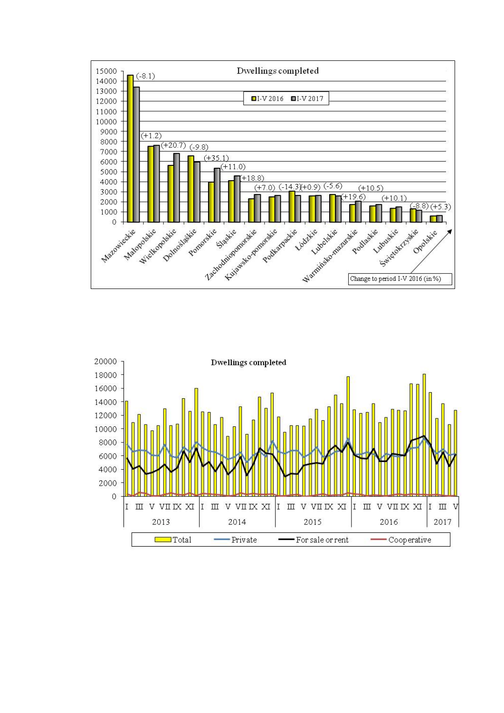